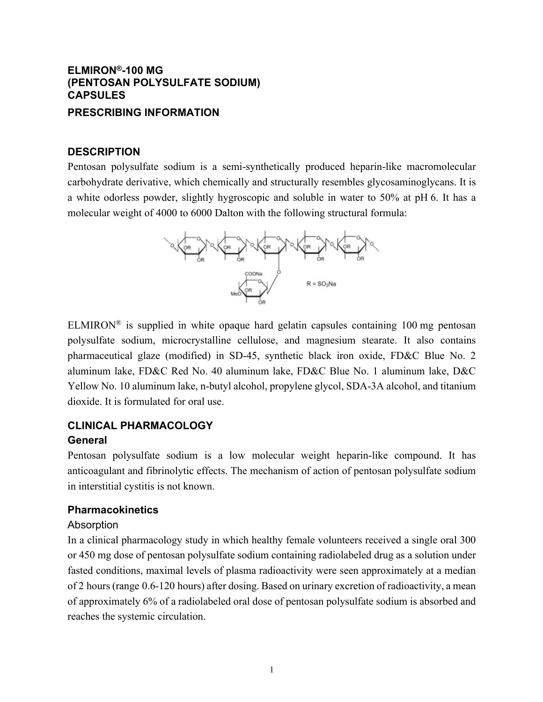# **ELMIRON®-100 MG (PENTOSAN POLYSULFATE SODIUM) CAPSULES**

## **PRESCRIBING INFORMATION**

## **DESCRIPTION**

Pentosan polysulfate sodium is a semi-synthetically produced heparin-like macromolecular carbohydrate derivative, which chemically and structurally resembles glycosaminoglycans. It is a white odorless powder, slightly hygroscopic and soluble in water to 50% at pH 6. It has a molecular weight of 4000 to 6000 Dalton with the following structural formula:



 $ELMIRON<sup>®</sup>$  is supplied in white opaque hard gelatin capsules containing 100 mg pentosan polysulfate sodium, microcrystalline cellulose, and magnesium stearate. It also contains pharmaceutical glaze (modified) in SD-45, synthetic black iron oxide, FD&C Blue No. 2 aluminum lake, FD&C Red No. 40 aluminum lake, FD&C Blue No. 1 aluminum lake, D&C Yellow No. 10 aluminum lake, n-butyl alcohol, propylene glycol, SDA-3A alcohol, and titanium dioxide. It is formulated for oral use.

## **CLINICAL PHARMACOLOGY General**

Pentosan polysulfate sodium is a low molecular weight heparin-like compound. It has anticoagulant and fibrinolytic effects. The mechanism of action of pentosan polysulfate sodium in interstitial cystitis is not known.

## **Pharmacokinetics**

### Absorption

In a clinical pharmacology study in which healthy female volunteers received a single oral 300 or 450 mg dose of pentosan polysulfate sodium containing radiolabeled drug as a solution under fasted conditions, maximal levels of plasma radioactivity were seen approximately at a median of 2 hours (range 0.6-120 hours) after dosing. Based on urinary excretion of radioactivity, a mean of approximately 6% of a radiolabeled oral dose of pentosan polysulfate sodium is absorbed and reaches the systemic circulation.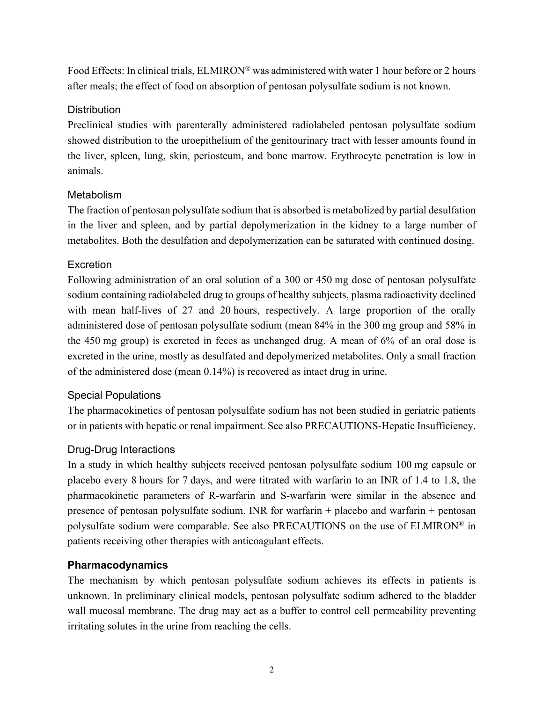Food Effects: In clinical trials, ELMIRON® was administered with water 1 hour before or 2 hours after meals; the effect of food on absorption of pentosan polysulfate sodium is not known.

## **Distribution**

Preclinical studies with parenterally administered radiolabeled pentosan polysulfate sodium showed distribution to the uroepithelium of the genitourinary tract with lesser amounts found in the liver, spleen, lung, skin, periosteum, and bone marrow. Erythrocyte penetration is low in animals.

## Metabolism

The fraction of pentosan polysulfate sodium that is absorbed is metabolized by partial desulfation in the liver and spleen, and by partial depolymerization in the kidney to a large number of metabolites. Both the desulfation and depolymerization can be saturated with continued dosing.

## **Excretion**

Following administration of an oral solution of a 300 or 450 mg dose of pentosan polysulfate sodium containing radiolabeled drug to groups of healthy subjects, plasma radioactivity declined with mean half-lives of 27 and 20 hours, respectively. A large proportion of the orally administered dose of pentosan polysulfate sodium (mean 84% in the 300 mg group and 58% in the 450 mg group) is excreted in feces as unchanged drug. A mean of 6% of an oral dose is excreted in the urine, mostly as desulfated and depolymerized metabolites. Only a small fraction of the administered dose (mean 0.14%) is recovered as intact drug in urine.

## Special Populations

The pharmacokinetics of pentosan polysulfate sodium has not been studied in geriatric patients or in patients with hepatic or renal impairment. See also PRECAUTIONS-Hepatic Insufficiency.

# Drug-Drug Interactions

In a study in which healthy subjects received pentosan polysulfate sodium 100 mg capsule or placebo every 8 hours for 7 days, and were titrated with warfarin to an INR of 1.4 to 1.8, the pharmacokinetic parameters of R-warfarin and S-warfarin were similar in the absence and presence of pentosan polysulfate sodium. INR for warfarin + placebo and warfarin + pentosan polysulfate sodium were comparable. See also PRECAUTIONS on the use of ELMIRON® in patients receiving other therapies with anticoagulant effects.

## **Pharmacodynamics**

The mechanism by which pentosan polysulfate sodium achieves its effects in patients is unknown. In preliminary clinical models, pentosan polysulfate sodium adhered to the bladder wall mucosal membrane. The drug may act as a buffer to control cell permeability preventing irritating solutes in the urine from reaching the cells.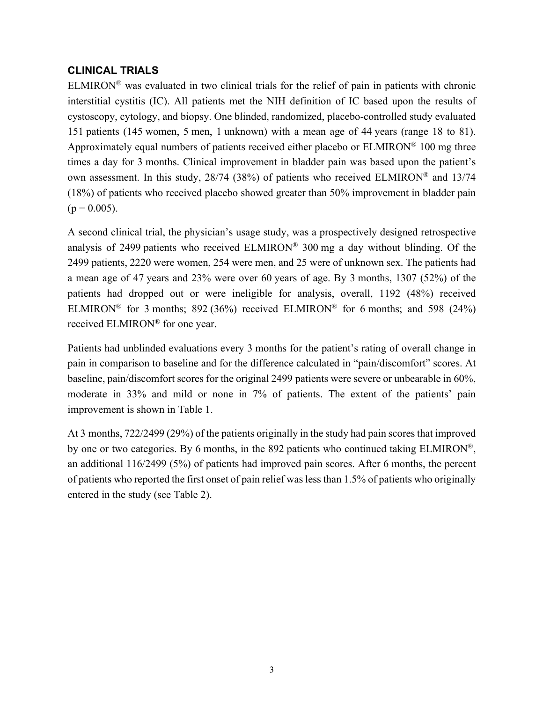## **CLINICAL TRIALS**

ELMIRON<sup>®</sup> was evaluated in two clinical trials for the relief of pain in patients with chronic interstitial cystitis (IC). All patients met the NIH definition of IC based upon the results of cystoscopy, cytology, and biopsy. One blinded, randomized, placebo-controlled study evaluated 151 patients (145 women, 5 men, 1 unknown) with a mean age of 44 years (range 18 to 81). Approximately equal numbers of patients received either placebo or  $ELMIRON^{\circledR}$  100 mg three times a day for 3 months. Clinical improvement in bladder pain was based upon the patient's own assessment. In this study, 28/74 (38%) of patients who received ELMIRON® and 13/74 (18%) of patients who received placebo showed greater than 50% improvement in bladder pain  $(p = 0.005)$ .

A second clinical trial, the physician's usage study, was a prospectively designed retrospective analysis of 2499 patients who received ELMIRON® 300 mg a day without blinding. Of the 2499 patients, 2220 were women, 254 were men, and 25 were of unknown sex. The patients had a mean age of 47 years and 23% were over 60 years of age. By 3 months, 1307 (52%) of the patients had dropped out or were ineligible for analysis, overall, 1192 (48%) received ELMIRON<sup>®</sup> for 3 months; 892 (36%) received ELMIRON<sup>®</sup> for 6 months; and 598 (24%) received ELMIRON® for one year.

Patients had unblinded evaluations every 3 months for the patient's rating of overall change in pain in comparison to baseline and for the difference calculated in "pain/discomfort" scores. At baseline, pain/discomfort scores for the original 2499 patients were severe or unbearable in 60%, moderate in 33% and mild or none in 7% of patients. The extent of the patients' pain improvement is shown in Table 1.

At 3 months, 722/2499 (29%) of the patients originally in the study had pain scores that improved by one or two categories. By 6 months, in the 892 patients who continued taking ELMIRON®, an additional 116/2499 (5%) of patients had improved pain scores. After 6 months, the percent of patients who reported the first onset of pain relief was less than 1.5% of patients who originally entered in the study (see Table 2).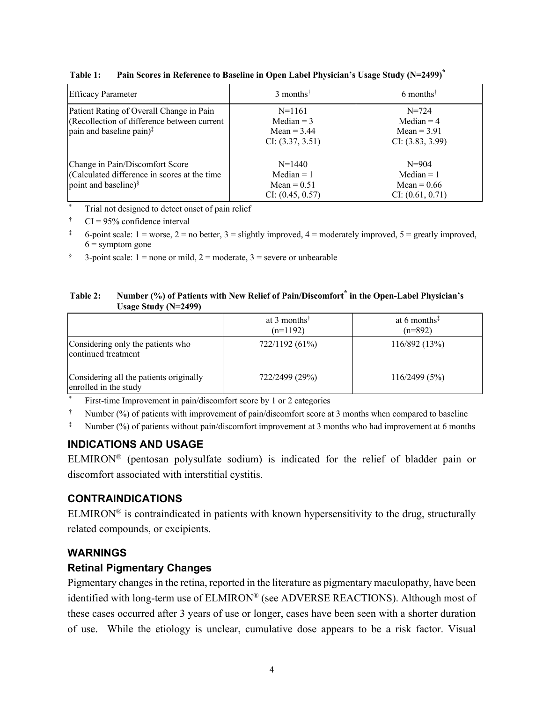| <b>Efficacy Parameter</b>                                                                                                       | $3$ months <sup>†</sup>                                       | 6 months <sup><math>\dagger</math></sup>                       |
|---------------------------------------------------------------------------------------------------------------------------------|---------------------------------------------------------------|----------------------------------------------------------------|
| Patient Rating of Overall Change in Pain<br>(Recollection of difference between current<br>pain and baseline pain) <sup>‡</sup> | $N=1161$<br>Median $=$ 3<br>Mean $=$ 3.44<br>CI: (3.37, 3.51) | $N = 724$<br>Median $=$ 4<br>$Mean = 3.91$<br>CI: (3.83, 3.99) |
| Change in Pain/Discomfort Score<br>Calculated difference in scores at the time<br>point and baseline) <sup>§</sup>              | $N=1440$<br>$Median = 1$<br>$Mean = 0.51$<br>CI: (0.45, 0.57) | $N = 904$<br>$Median = 1$<br>$Mean = 0.66$<br>CI: (0.61, 0.71) |

**Table 1: Pain Scores in Reference to Baseline in Open Label Physician's Usage Study (N=2499)\***

Trial not designed to detect onset of pain relief

 $\uparrow$  CI = 95% confidence interval

<sup>‡</sup> 6-point scale: 1 = worse, 2 = no better, 3 = slightly improved, 4 = moderately improved, 5 = greatly improved,  $6 =$ symptom gone

§ 3-point scale: 1 = none or mild, 2 = moderate, 3 = severe or unbearable

#### **Table 2: Number (%) of Patients with New Relief of Pain/Discomfort\* in the Open-Label Physician's Usage Study (N=2499)**

|                                                                  | at 3 months <sup><math>\uparrow</math></sup><br>$(n=1192)$ | at 6 months $\frac{1}{x}$<br>$(n=892)$ |
|------------------------------------------------------------------|------------------------------------------------------------|----------------------------------------|
| Considering only the patients who<br>continued treatment         | 722/1192 (61%)                                             | 116/892(13%)                           |
| Considering all the patients originally<br>enrolled in the study | 722/2499 (29%)                                             | 116/2499(5%)                           |

First-time Improvement in pain/discomfort score by 1 or 2 categories

† Number (%) of patients with improvement of pain/discomfort score at 3 months when compared to baseline

<sup>‡</sup> Number (%) of patients without pain/discomfort improvement at 3 months who had improvement at 6 months

# **INDICATIONS AND USAGE**

ELMIRON® (pentosan polysulfate sodium) is indicated for the relief of bladder pain or discomfort associated with interstitial cystitis.

# **CONTRAINDICATIONS**

ELMIRON<sup>®</sup> is contraindicated in patients with known hypersensitivity to the drug, structurally related compounds, or excipients.

## **WARNINGS**

## **Retinal Pigmentary Changes**

Pigmentary changes in the retina, reported in the literature as pigmentary maculopathy, have been identified with long-term use of ELMIRON® (see ADVERSE REACTIONS). Although most of these cases occurred after 3 years of use or longer, cases have been seen with a shorter duration of use. While the etiology is unclear, cumulative dose appears to be a risk factor. Visual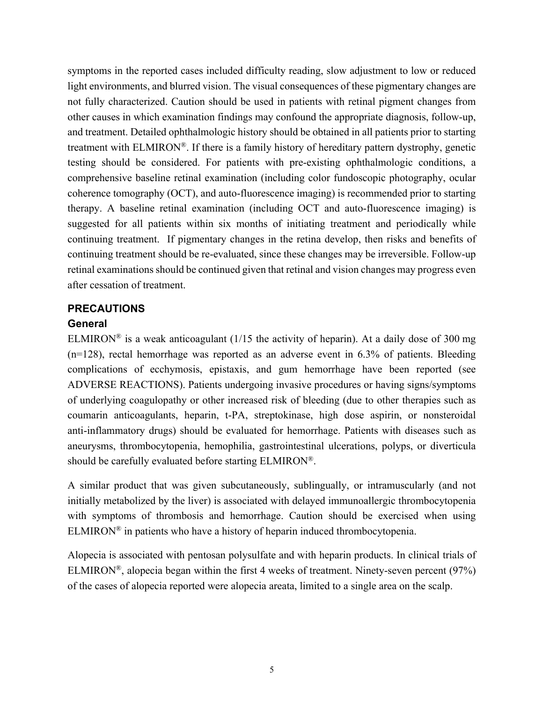symptoms in the reported cases included difficulty reading, slow adjustment to low or reduced light environments, and blurred vision. The visual consequences of these pigmentary changes are not fully characterized. Caution should be used in patients with retinal pigment changes from other causes in which examination findings may confound the appropriate diagnosis, follow-up, and treatment. Detailed ophthalmologic history should be obtained in all patients prior to starting treatment with ELMIRON®. If there is a family history of hereditary pattern dystrophy, genetic testing should be considered. For patients with pre-existing ophthalmologic conditions, a comprehensive baseline retinal examination (including color fundoscopic photography, ocular coherence tomography (OCT), and auto-fluorescence imaging) is recommended prior to starting therapy. A baseline retinal examination (including OCT and auto-fluorescence imaging) is suggested for all patients within six months of initiating treatment and periodically while continuing treatment. If pigmentary changes in the retina develop, then risks and benefits of continuing treatment should be re-evaluated, since these changes may be irreversible. Follow-up retinal examinations should be continued given that retinal and vision changes may progress even after cessation of treatment.

## **PRECAUTIONS**

### **General**

ELMIRON<sup>®</sup> is a weak anticoagulant ( $1/15$  the activity of heparin). At a daily dose of 300 mg (n=128), rectal hemorrhage was reported as an adverse event in 6.3% of patients. Bleeding complications of ecchymosis, epistaxis, and gum hemorrhage have been reported (see ADVERSE REACTIONS). Patients undergoing invasive procedures or having signs/symptoms of underlying coagulopathy or other increased risk of bleeding (due to other therapies such as coumarin anticoagulants, heparin, t-PA, streptokinase, high dose aspirin, or nonsteroidal anti-inflammatory drugs) should be evaluated for hemorrhage. Patients with diseases such as aneurysms, thrombocytopenia, hemophilia, gastrointestinal ulcerations, polyps, or diverticula should be carefully evaluated before starting ELMIRON®.

A similar product that was given subcutaneously, sublingually, or intramuscularly (and not initially metabolized by the liver) is associated with delayed immunoallergic thrombocytopenia with symptoms of thrombosis and hemorrhage. Caution should be exercised when using  $ELMIRON<sup>®</sup>$  in patients who have a history of heparin induced thrombocytopenia.

Alopecia is associated with pentosan polysulfate and with heparin products. In clinical trials of ELMIRON®, alopecia began within the first 4 weeks of treatment. Ninety-seven percent (97%) of the cases of alopecia reported were alopecia areata, limited to a single area on the scalp.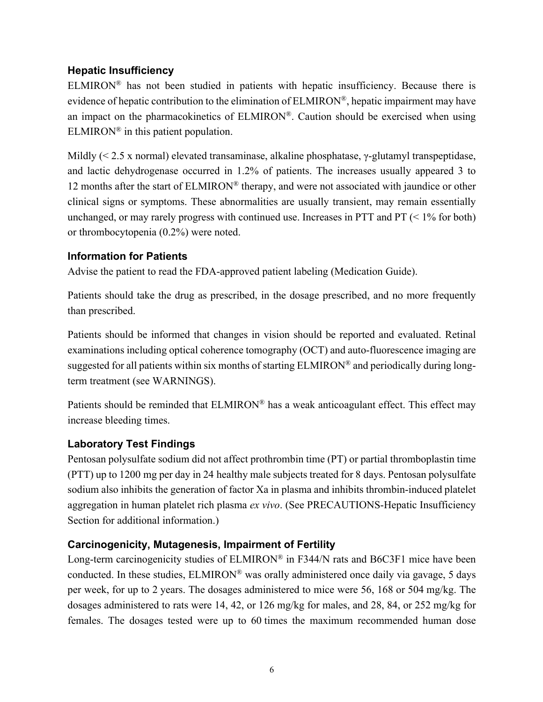# **Hepatic Insufficiency**

ELMIRON® has not been studied in patients with hepatic insufficiency. Because there is evidence of hepatic contribution to the elimination of ELMIRON®, hepatic impairment may have an impact on the pharmacokinetics of ELMIRON®. Caution should be exercised when using ELMIRON<sup>®</sup> in this patient population.

Mildly (< 2.5 x normal) elevated transaminase, alkaline phosphatase, γ-glutamyl transpeptidase, and lactic dehydrogenase occurred in 1.2% of patients. The increases usually appeared 3 to 12 months after the start of ELMIRON® therapy, and were not associated with jaundice or other clinical signs or symptoms. These abnormalities are usually transient, may remain essentially unchanged, or may rarely progress with continued use. Increases in PTT and PT  $\leq 1\%$  for both) or thrombocytopenia (0.2%) were noted.

# **Information for Patients**

Advise the patient to read the FDA-approved patient labeling (Medication Guide).

Patients should take the drug as prescribed, in the dosage prescribed, and no more frequently than prescribed.

Patients should be informed that changes in vision should be reported and evaluated. Retinal examinations including optical coherence tomography (OCT) and auto-fluorescence imaging are suggested for all patients within six months of starting ELMIRON® and periodically during longterm treatment (see WARNINGS).

Patients should be reminded that ELMIRON® has a weak anticoagulant effect. This effect may increase bleeding times.

# **Laboratory Test Findings**

Pentosan polysulfate sodium did not affect prothrombin time (PT) or partial thromboplastin time (PTT) up to 1200 mg per day in 24 healthy male subjects treated for 8 days. Pentosan polysulfate sodium also inhibits the generation of factor Xa in plasma and inhibits thrombin-induced platelet aggregation in human platelet rich plasma *ex vivo*. (See PRECAUTIONS-Hepatic Insufficiency Section for additional information.)

# **Carcinogenicity, Mutagenesis, Impairment of Fertility**

Long-term carcinogenicity studies of ELMIRON<sup>®</sup> in F344/N rats and B6C3F1 mice have been conducted. In these studies, ELMIRON® was orally administered once daily via gavage, 5 days per week, for up to 2 years. The dosages administered to mice were 56, 168 or 504 mg/kg. The dosages administered to rats were 14, 42, or 126 mg/kg for males, and 28, 84, or 252 mg/kg for females. The dosages tested were up to 60 times the maximum recommended human dose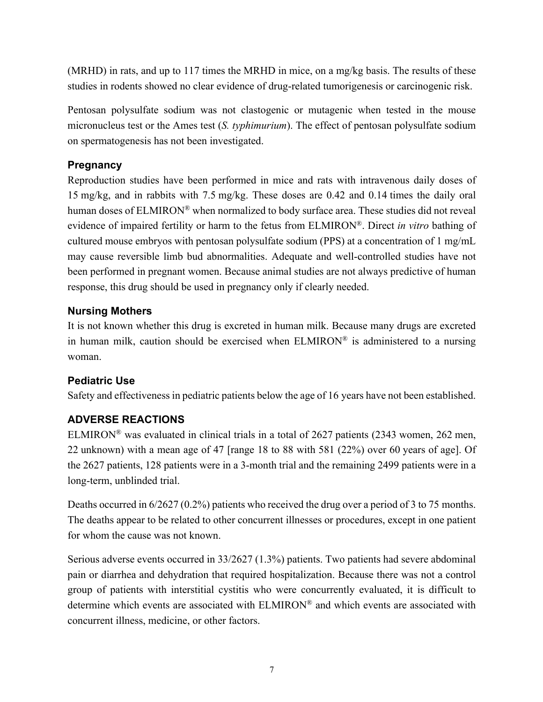(MRHD) in rats, and up to 117 times the MRHD in mice, on a mg/kg basis. The results of these studies in rodents showed no clear evidence of drug-related tumorigenesis or carcinogenic risk.

Pentosan polysulfate sodium was not clastogenic or mutagenic when tested in the mouse micronucleus test or the Ames test (*S. typhimurium*). The effect of pentosan polysulfate sodium on spermatogenesis has not been investigated.

## **Pregnancy**

Reproduction studies have been performed in mice and rats with intravenous daily doses of 15 mg/kg, and in rabbits with 7.5 mg/kg. These doses are 0.42 and 0.14 times the daily oral human doses of ELMIRON<sup>®</sup> when normalized to body surface area. These studies did not reveal evidence of impaired fertility or harm to the fetus from ELMIRON®. Direct *in vitro* bathing of cultured mouse embryos with pentosan polysulfate sodium (PPS) at a concentration of 1 mg/mL may cause reversible limb bud abnormalities. Adequate and well-controlled studies have not been performed in pregnant women. Because animal studies are not always predictive of human response, this drug should be used in pregnancy only if clearly needed.

## **Nursing Mothers**

It is not known whether this drug is excreted in human milk. Because many drugs are excreted in human milk, caution should be exercised when  $ELMIRON^{\circledR}$  is administered to a nursing woman.

## **Pediatric Use**

Safety and effectiveness in pediatric patients below the age of 16 years have not been established.

# **ADVERSE REACTIONS**

ELMIRON® was evaluated in clinical trials in a total of 2627 patients (2343 women, 262 men, 22 unknown) with a mean age of 47 [range 18 to 88 with 581 (22%) over 60 years of age]. Of the 2627 patients, 128 patients were in a 3-month trial and the remaining 2499 patients were in a long-term, unblinded trial.

Deaths occurred in 6/2627 (0.2%) patients who received the drug over a period of 3 to 75 months. The deaths appear to be related to other concurrent illnesses or procedures, except in one patient for whom the cause was not known.

Serious adverse events occurred in 33/2627 (1.3%) patients. Two patients had severe abdominal pain or diarrhea and dehydration that required hospitalization. Because there was not a control group of patients with interstitial cystitis who were concurrently evaluated, it is difficult to determine which events are associated with ELMIRON® and which events are associated with concurrent illness, medicine, or other factors.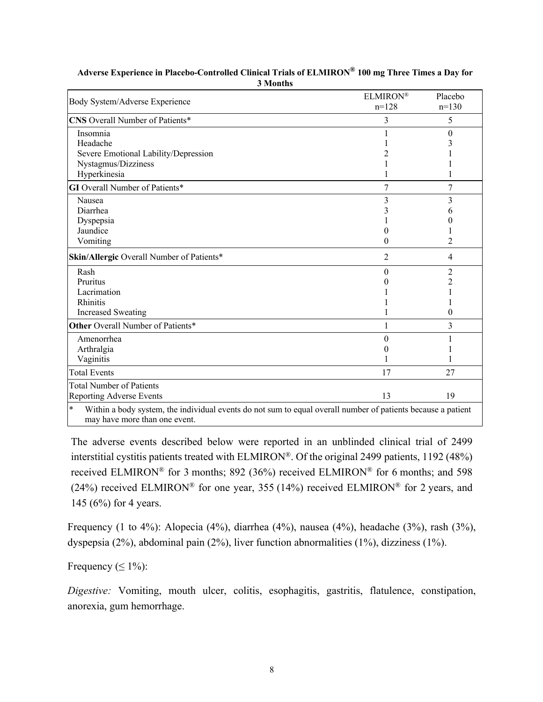| Body System/Adverse Experience                                                                                                                          | ELMIRON®<br>$n=128$ | Placebo<br>$n=130$ |
|---------------------------------------------------------------------------------------------------------------------------------------------------------|---------------------|--------------------|
| CNS Overall Number of Patients*                                                                                                                         | 3                   | 5                  |
| Insomnia                                                                                                                                                |                     | $\theta$           |
| Headache                                                                                                                                                |                     |                    |
| Severe Emotional Lability/Depression                                                                                                                    |                     |                    |
| Nystagmus/Dizziness                                                                                                                                     |                     |                    |
| Hyperkinesia                                                                                                                                            |                     |                    |
| <b>GI</b> Overall Number of Patients*                                                                                                                   | 7                   | 7                  |
| Nausea                                                                                                                                                  | 3                   | 3                  |
| Diarrhea                                                                                                                                                |                     | h.                 |
| Dyspepsia                                                                                                                                               |                     |                    |
| Jaundice                                                                                                                                                |                     |                    |
| Vomiting                                                                                                                                                | 0                   | 2                  |
| Skin/Allergic Overall Number of Patients*                                                                                                               | $\overline{2}$      | $\overline{4}$     |
| Rash                                                                                                                                                    | 0                   | 2                  |
| Pruritus                                                                                                                                                |                     | $\overline{c}$     |
| Lacrimation                                                                                                                                             |                     |                    |
| Rhinitis                                                                                                                                                |                     |                    |
| <b>Increased Sweating</b>                                                                                                                               |                     | 0                  |
| Other Overall Number of Patients*                                                                                                                       | 1                   | 3                  |
| Amenorrhea                                                                                                                                              | 0                   |                    |
| Arthralgia                                                                                                                                              |                     |                    |
| Vaginitis                                                                                                                                               |                     |                    |
| <b>Total Events</b>                                                                                                                                     | 17                  | 27                 |
| <b>Total Number of Patients</b>                                                                                                                         |                     |                    |
| Reporting Adverse Events                                                                                                                                | 13                  | 19                 |
| $\ast$<br>Within a body system, the individual events do not sum to equal overall number of patients because a patient<br>may have more than one event. |                     |                    |

### **Adverse Experience in Placebo-Controlled Clinical Trials of ELMIRON® 100 mg Three Times a Day for 3 Months**

The adverse events described below were reported in an unblinded clinical trial of 2499 interstitial cystitis patients treated with ELMIRON®. Of the original 2499 patients, 1192 (48%) received ELMIRON® for 3 months; 892 (36%) received ELMIRON® for 6 months; and 598 (24%) received ELMIRON<sup>®</sup> for one year, 355 (14%) received ELMIRON<sup>®</sup> for 2 years, and 145 (6%) for 4 years.

Frequency (1 to 4%): Alopecia (4%), diarrhea (4%), nausea (4%), headache (3%), rash (3%), dyspepsia (2%), abdominal pain (2%), liver function abnormalities (1%), dizziness (1%).

Frequency  $(< 1\%)$ :

*Digestive:* Vomiting, mouth ulcer, colitis, esophagitis, gastritis, flatulence, constipation, anorexia, gum hemorrhage.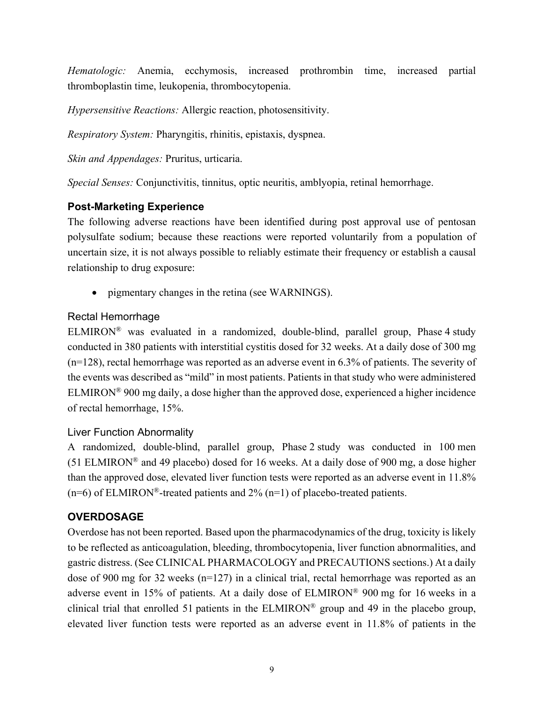*Hematologic:* Anemia, ecchymosis, increased prothrombin time, increased partial thromboplastin time, leukopenia, thrombocytopenia.

*Hypersensitive Reactions:* Allergic reaction, photosensitivity.

*Respiratory System:* Pharyngitis, rhinitis, epistaxis, dyspnea.

*Skin and Appendages:* Pruritus, urticaria.

*Special Senses:* Conjunctivitis, tinnitus, optic neuritis, amblyopia, retinal hemorrhage.

# **Post-Marketing Experience**

The following adverse reactions have been identified during post approval use of pentosan polysulfate sodium; because these reactions were reported voluntarily from a population of uncertain size, it is not always possible to reliably estimate their frequency or establish a causal relationship to drug exposure:

• pigmentary changes in the retina (see WARNINGS).

# Rectal Hemorrhage

ELMIRON<sup>®</sup> was evaluated in a randomized, double-blind, parallel group, Phase 4 study conducted in 380 patients with interstitial cystitis dosed for 32 weeks. At a daily dose of 300 mg (n=128), rectal hemorrhage was reported as an adverse event in 6.3% of patients. The severity of the events was described as "mild" in most patients. Patients in that study who were administered ELMIRON® 900 mg daily, a dose higher than the approved dose, experienced a higher incidence of rectal hemorrhage, 15%.

# Liver Function Abnormality

A randomized, double-blind, parallel group, Phase 2 study was conducted in 100 men (51 ELMIRON® and 49 placebo) dosed for 16 weeks. At a daily dose of 900 mg, a dose higher than the approved dose, elevated liver function tests were reported as an adverse event in 11.8%  $(n=6)$  of ELMIRON®-treated patients and 2%  $(n=1)$  of placebo-treated patients.

# **OVERDOSAGE**

Overdose has not been reported. Based upon the pharmacodynamics of the drug, toxicity is likely to be reflected as anticoagulation, bleeding, thrombocytopenia, liver function abnormalities, and gastric distress. (See CLINICAL PHARMACOLOGY and PRECAUTIONS sections.) At a daily dose of 900 mg for 32 weeks (n=127) in a clinical trial, rectal hemorrhage was reported as an adverse event in 15% of patients. At a daily dose of ELMIRON® 900 mg for 16 weeks in a clinical trial that enrolled 51 patients in the ELMIRON® group and 49 in the placebo group, elevated liver function tests were reported as an adverse event in 11.8% of patients in the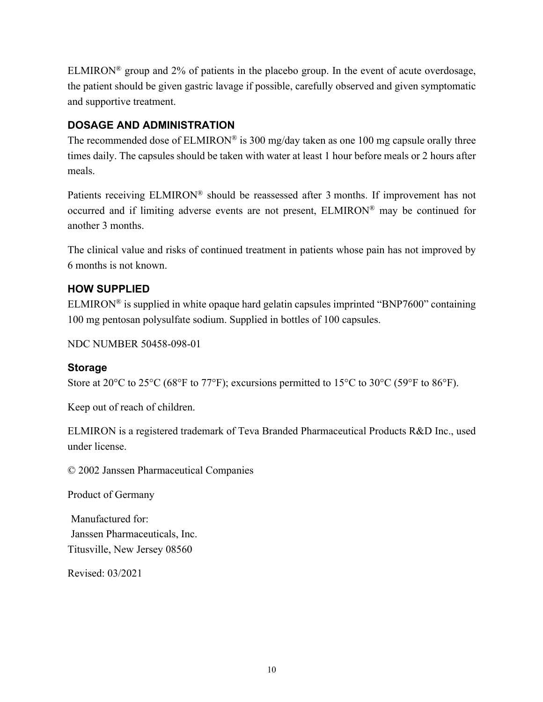ELMIRON<sup>®</sup> group and 2% of patients in the placebo group. In the event of acute overdosage, the patient should be given gastric lavage if possible, carefully observed and given symptomatic and supportive treatment.

## **DOSAGE AND ADMINISTRATION**

The recommended dose of  $ELMIRON^{\circledR}$  is 300 mg/day taken as one 100 mg capsule orally three times daily. The capsules should be taken with water at least 1 hour before meals or 2 hours after meals.

Patients receiving ELMIRON<sup>®</sup> should be reassessed after 3 months. If improvement has not occurred and if limiting adverse events are not present, ELMIRON® may be continued for another 3 months.

The clinical value and risks of continued treatment in patients whose pain has not improved by 6 months is not known.

# **HOW SUPPLIED**

ELMIRON<sup>®</sup> is supplied in white opaque hard gelatin capsules imprinted "BNP7600" containing 100 mg pentosan polysulfate sodium. Supplied in bottles of 100 capsules.

NDC NUMBER 50458-098-01

## **Storage**

Store at 20°C to 25°C (68°F to 77°F); excursions permitted to 15°C to 30°C (59°F to 86°F).

Keep out of reach of children.

ELMIRON is a registered trademark of Teva Branded Pharmaceutical Products R&D Inc., used under license.

© 2002 Janssen Pharmaceutical Companies

Product of Germany

Manufactured for: Janssen Pharmaceuticals, Inc. Titusville, New Jersey 08560

Revised: 03/2021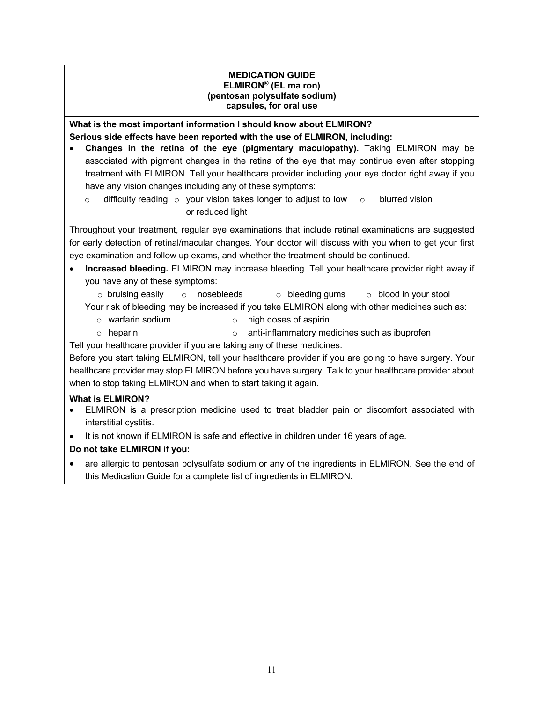### **MEDICATION GUIDE ELMIRON® (EL ma ron) (pentosan polysulfate sodium) capsules, for oral use**

**What is the most important information I should know about ELMIRON? Serious side effects have been reported with the use of ELMIRON, including:** 

- **Changes in the retina of the eye (pigmentary maculopathy).** Taking ELMIRON may be associated with pigment changes in the retina of the eye that may continue even after stopping treatment with ELMIRON. Tell your healthcare provider including your eye doctor right away if you have any vision changes including any of these symptoms:
	- $\circ$  difficulty reading  $\circ$  your vision takes longer to adjust to low  $\circ$ or reduced light blurred vision

Throughout your treatment, regular eye examinations that include retinal examinations are suggested for early detection of retinal/macular changes. Your doctor will discuss with you when to get your first eye examination and follow up exams, and whether the treatment should be continued.

- **Increased bleeding.** ELMIRON may increase bleeding. Tell your healthcare provider right away if you have any of these symptoms:
	- $\circ$  bruising easily  $\circ$  nosebleeds  $\circ$  bleeding gums  $\circ$  blood in your stool

Your risk of bleeding may be increased if you take ELMIRON along with other medicines such as:

- o warfarin sodium o high doses of aspirin
- $\circ$  heparin  $\circ$  anti-inflammatory medicines such as ibuprofen

Tell your healthcare provider if you are taking any of these medicines.

Before you start taking ELMIRON, tell your healthcare provider if you are going to have surgery. Your healthcare provider may stop ELMIRON before you have surgery. Talk to your healthcare provider about when to stop taking ELMIRON and when to start taking it again.

## **What is ELMIRON?**

- ELMIRON is a prescription medicine used to treat bladder pain or discomfort associated with interstitial cystitis.
- It is not known if ELMIRON is safe and effective in children under 16 years of age.

## **Do not take ELMIRON if you:**

• are allergic to pentosan polysulfate sodium or any of the ingredients in ELMIRON. See the end of this Medication Guide for a complete list of ingredients in ELMIRON.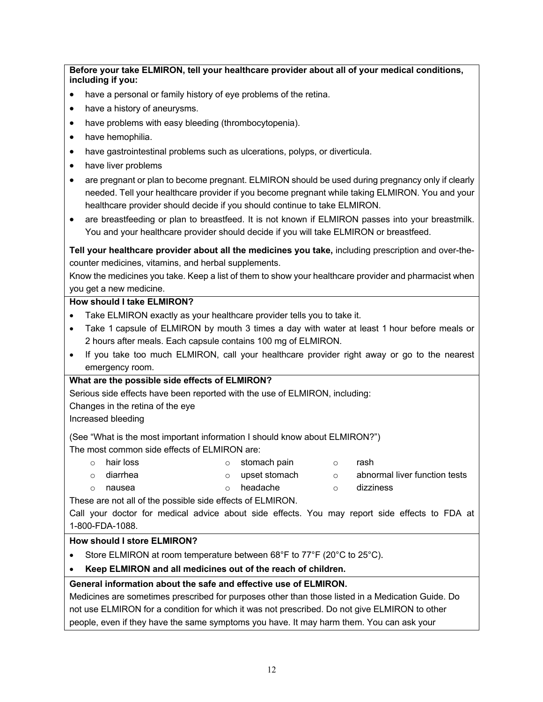**Before your take ELMIRON, tell your healthcare provider about all of your medical conditions, including if you:**

- have a personal or family history of eye problems of the retina.
- have a history of aneurysms.
- have problems with easy bleeding (thrombocytopenia).
- have hemophilia.
- have gastrointestinal problems such as ulcerations, polyps, or diverticula.
- have liver problems
- are pregnant or plan to become pregnant. ELMIRON should be used during pregnancy only if clearly needed. Tell your healthcare provider if you become pregnant while taking ELMIRON. You and your healthcare provider should decide if you should continue to take ELMIRON.
- are breastfeeding or plan to breastfeed. It is not known if ELMIRON passes into your breastmilk. You and your healthcare provider should decide if you will take ELMIRON or breastfeed.

**Tell your healthcare provider about all the medicines you take,** including prescription and over-thecounter medicines, vitamins, and herbal supplements.

Know the medicines you take. Keep a list of them to show your healthcare provider and pharmacist when you get a new medicine.

#### **How should I take ELMIRON?**

- Take ELMIRON exactly as your healthcare provider tells you to take it.
- Take 1 capsule of ELMIRON by mouth 3 times a day with water at least 1 hour before meals or 2 hours after meals. Each capsule contains 100 mg of ELMIRON.
- If you take too much ELMIRON, call your healthcare provider right away or go to the nearest emergency room.

### **What are the possible side effects of ELMIRON?**

Serious side effects have been reported with the use of ELMIRON, including:

Changes in the retina of the eye

Increased bleeding

(See "What is the most important information I should know about ELMIRON?")

The most common side effects of ELMIRON are:

o hair loss o stomach pain o rash o diarrhea o upset stomach o abnormal liver function tests o nausea o headache o dizziness

These are not all of the possible side effects of ELMIRON.

Call your doctor for medical advice about side effects. You may report side effects to FDA at 1-800-FDA-1088.

#### **How should I store ELMIRON?**

- Store ELMIRON at room temperature between 68°F to 77°F (20°C to 25°C).
- **Keep ELMIRON and all medicines out of the reach of children.**

### **General information about the safe and effective use of ELMIRON.**

Medicines are sometimes prescribed for purposes other than those listed in a Medication Guide. Do not use ELMIRON for a condition for which it was not prescribed. Do not give ELMIRON to other people, even if they have the same symptoms you have. It may harm them. You can ask your